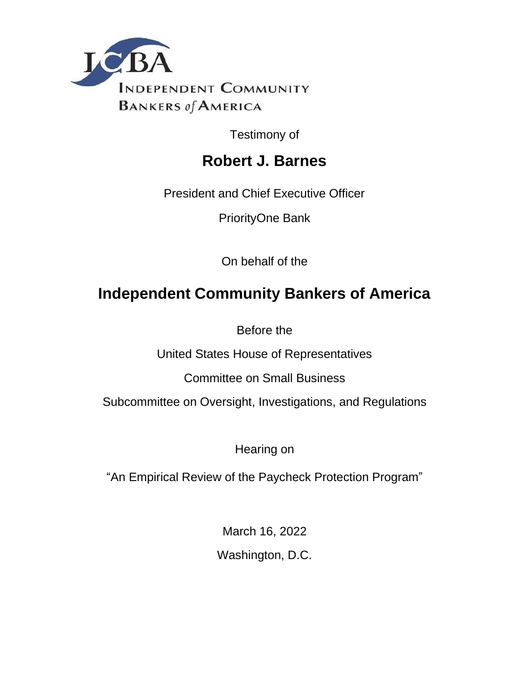

Testimony of

# **Robert J. Barnes**

President and Chief Executive Officer

PriorityOne Bank

On behalf of the

# **Independent Community Bankers of America**

Before the

United States House of Representatives

Committee on Small Business

Subcommittee on Oversight, Investigations, and Regulations

Hearing on

"An Empirical Review of the Paycheck Protection Program"

March 16, 2022

Washington, D.C.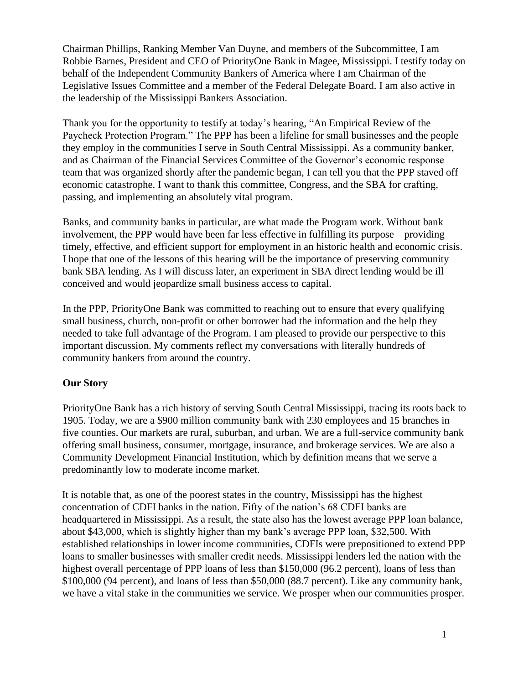Chairman Phillips, Ranking Member Van Duyne, and members of the Subcommittee, I am Robbie Barnes, President and CEO of PriorityOne Bank in Magee, Mississippi. I testify today on behalf of the Independent Community Bankers of America where I am Chairman of the Legislative Issues Committee and a member of the Federal Delegate Board. I am also active in the leadership of the Mississippi Bankers Association.

Thank you for the opportunity to testify at today's hearing, "An Empirical Review of the Paycheck Protection Program." The PPP has been a lifeline for small businesses and the people they employ in the communities I serve in South Central Mississippi. As a community banker, and as Chairman of the Financial Services Committee of the Governor's economic response team that was organized shortly after the pandemic began, I can tell you that the PPP staved off economic catastrophe. I want to thank this committee, Congress, and the SBA for crafting, passing, and implementing an absolutely vital program.

Banks, and community banks in particular, are what made the Program work. Without bank involvement, the PPP would have been far less effective in fulfilling its purpose – providing timely, effective, and efficient support for employment in an historic health and economic crisis. I hope that one of the lessons of this hearing will be the importance of preserving community bank SBA lending. As I will discuss later, an experiment in SBA direct lending would be ill conceived and would jeopardize small business access to capital.

In the PPP, PriorityOne Bank was committed to reaching out to ensure that every qualifying small business, church, non-profit or other borrower had the information and the help they needed to take full advantage of the Program. I am pleased to provide our perspective to this important discussion. My comments reflect my conversations with literally hundreds of community bankers from around the country.

# **Our Story**

PriorityOne Bank has a rich history of serving South Central Mississippi, tracing its roots back to 1905. Today, we are a \$900 million community bank with 230 employees and 15 branches in five counties. Our markets are rural, suburban, and urban. We are a full-service community bank offering small business, consumer, mortgage, insurance, and brokerage services. We are also a Community Development Financial Institution, which by definition means that we serve a predominantly low to moderate income market.

It is notable that, as one of the poorest states in the country, Mississippi has the highest concentration of CDFI banks in the nation. Fifty of the nation's 68 CDFI banks are headquartered in Mississippi. As a result, the state also has the lowest average PPP loan balance, about \$43,000, which is slightly higher than my bank's average PPP loan, \$32,500. With established relationships in lower income communities, CDFIs were prepositioned to extend PPP loans to smaller businesses with smaller credit needs. Mississippi lenders led the nation with the highest overall percentage of PPP loans of less than \$150,000 (96.2 percent), loans of less than \$100,000 (94 percent), and loans of less than \$50,000 (88.7 percent). Like any community bank, we have a vital stake in the communities we service. We prosper when our communities prosper.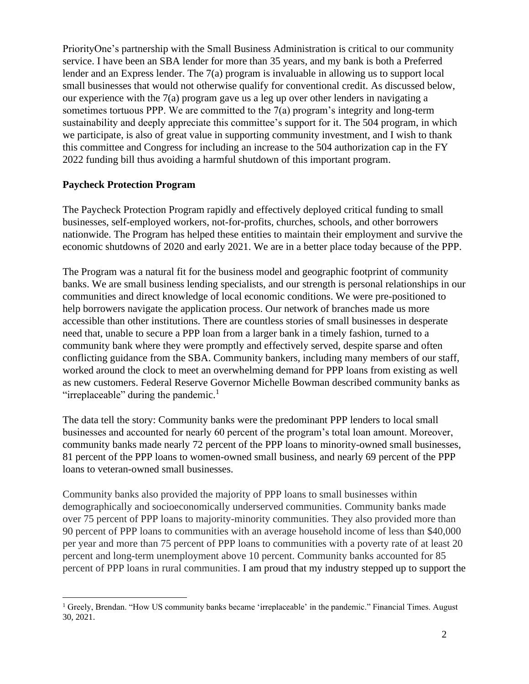PriorityOne's partnership with the Small Business Administration is critical to our community service. I have been an SBA lender for more than 35 years, and my bank is both a Preferred lender and an Express lender. The 7(a) program is invaluable in allowing us to support local small businesses that would not otherwise qualify for conventional credit. As discussed below, our experience with the 7(a) program gave us a leg up over other lenders in navigating a sometimes tortuous PPP. We are committed to the 7(a) program's integrity and long-term sustainability and deeply appreciate this committee's support for it. The 504 program, in which we participate, is also of great value in supporting community investment, and I wish to thank this committee and Congress for including an increase to the 504 authorization cap in the FY 2022 funding bill thus avoiding a harmful shutdown of this important program.

#### **Paycheck Protection Program**

The Paycheck Protection Program rapidly and effectively deployed critical funding to small businesses, self-employed workers, not-for-profits, churches, schools, and other borrowers nationwide. The Program has helped these entities to maintain their employment and survive the economic shutdowns of 2020 and early 2021. We are in a better place today because of the PPP.

The Program was a natural fit for the business model and geographic footprint of community banks. We are small business lending specialists, and our strength is personal relationships in our communities and direct knowledge of local economic conditions. We were pre-positioned to help borrowers navigate the application process. Our network of branches made us more accessible than other institutions. There are countless stories of small businesses in desperate need that, unable to secure a PPP loan from a larger bank in a timely fashion, turned to a community bank where they were promptly and effectively served, despite sparse and often conflicting guidance from the SBA. Community bankers, including many members of our staff, worked around the clock to meet an overwhelming demand for PPP loans from existing as well as new customers. Federal Reserve Governor Michelle Bowman described community banks as "irreplaceable" during the pandemic. $\frac{1}{1}$ 

The data tell the story: Community banks were the predominant PPP lenders to local small businesses and accounted for nearly 60 percent of the program's total loan amount. Moreover, community banks made nearly 72 percent of the PPP loans to minority-owned small businesses, 81 percent of the PPP loans to women-owned small business, and nearly 69 percent of the PPP loans to veteran-owned small businesses.

Community banks also provided the majority of PPP loans to small businesses within demographically and socioeconomically underserved communities. Community banks made over 75 percent of PPP loans to majority-minority communities. They also provided more than 90 percent of PPP loans to communities with an average household income of less than \$40,000 per year and more than 75 percent of PPP loans to communities with a poverty rate of at least 20 percent and long-term unemployment above 10 percent. Community banks accounted for 85 percent of PPP loans in rural communities. I am proud that my industry stepped up to support the

<sup>&</sup>lt;sup>1</sup> Greely, Brendan. "How US community banks became 'irreplaceable' in the pandemic." Financial Times. August 30, 2021.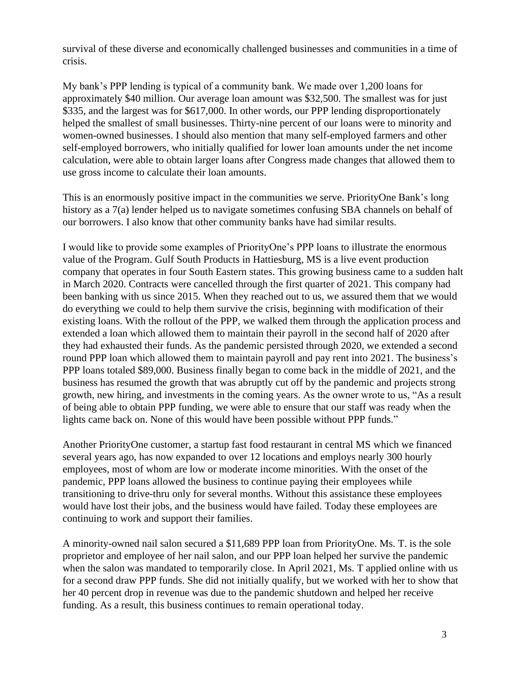survival of these diverse and economically challenged businesses and communities in a time of crisis.

My bank's PPP lending is typical of a community bank. We made over 1,200 loans for approximately \$40 million. Our average loan amount was \$32,500. The smallest was for just \$335, and the largest was for \$617,000. In other words, our PPP lending disproportionately helped the smallest of small businesses. Thirty-nine percent of our loans were to minority and women-owned businesses. I should also mention that many self-employed farmers and other self-employed borrowers, who initially qualified for lower loan amounts under the net income calculation, were able to obtain larger loans after Congress made changes that allowed them to use gross income to calculate their loan amounts.

This is an enormously positive impact in the communities we serve. PriorityOne Bank's long history as a 7(a) lender helped us to navigate sometimes confusing SBA channels on behalf of our borrowers. I also know that other community banks have had similar results.

I would like to provide some examples of PriorityOne's PPP loans to illustrate the enormous value of the Program. Gulf South Products in Hattiesburg, MS is a live event production company that operates in four South Eastern states. This growing business came to a sudden halt in March 2020. Contracts were cancelled through the first quarter of 2021. This company had been banking with us since 2015. When they reached out to us, we assured them that we would do everything we could to help them survive the crisis, beginning with modification of their existing loans. With the rollout of the PPP, we walked them through the application process and extended a loan which allowed them to maintain their payroll in the second half of 2020 after they had exhausted their funds. As the pandemic persisted through 2020, we extended a second round PPP loan which allowed them to maintain payroll and pay rent into 2021. The business's PPP loans totaled \$89,000. Business finally began to come back in the middle of 2021, and the business has resumed the growth that was abruptly cut off by the pandemic and projects strong growth, new hiring, and investments in the coming years. As the owner wrote to us, "As a result of being able to obtain PPP funding, we were able to ensure that our staff was ready when the lights came back on. None of this would have been possible without PPP funds."

Another PriorityOne customer, a startup fast food restaurant in central MS which we financed several years ago, has now expanded to over 12 locations and employs nearly 300 hourly employees, most of whom are low or moderate income minorities. With the onset of the pandemic, PPP loans allowed the business to continue paying their employees while transitioning to drive-thru only for several months. Without this assistance these employees would have lost their jobs, and the business would have failed. Today these employees are continuing to work and support their families.

A minority-owned nail salon secured a \$11,689 PPP loan from PriorityOne. Ms. T. is the sole proprietor and employee of her nail salon, and our PPP loan helped her survive the pandemic when the salon was mandated to temporarily close. In April 2021, Ms. T applied online with us for a second draw PPP funds. She did not initially qualify, but we worked with her to show that her 40 percent drop in revenue was due to the pandemic shutdown and helped her receive funding. As a result, this business continues to remain operational today.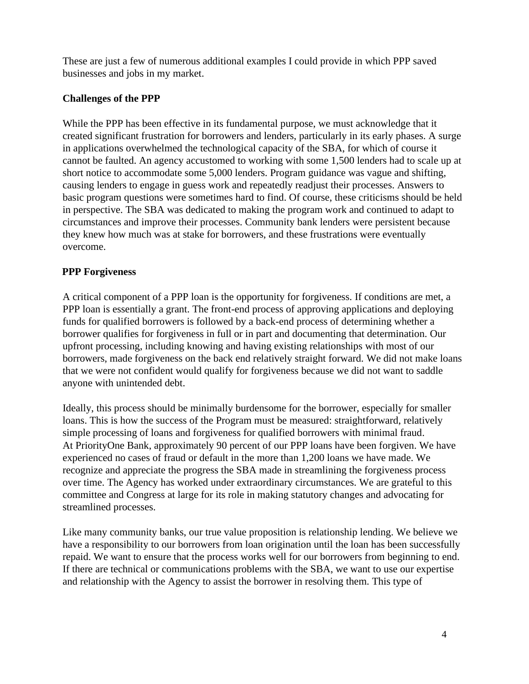These are just a few of numerous additional examples I could provide in which PPP saved businesses and jobs in my market.

# **Challenges of the PPP**

While the PPP has been effective in its fundamental purpose, we must acknowledge that it created significant frustration for borrowers and lenders, particularly in its early phases. A surge in applications overwhelmed the technological capacity of the SBA, for which of course it cannot be faulted. An agency accustomed to working with some 1,500 lenders had to scale up at short notice to accommodate some 5,000 lenders. Program guidance was vague and shifting, causing lenders to engage in guess work and repeatedly readjust their processes. Answers to basic program questions were sometimes hard to find. Of course, these criticisms should be held in perspective. The SBA was dedicated to making the program work and continued to adapt to circumstances and improve their processes. Community bank lenders were persistent because they knew how much was at stake for borrowers, and these frustrations were eventually overcome.

# **PPP Forgiveness**

A critical component of a PPP loan is the opportunity for forgiveness. If conditions are met, a PPP loan is essentially a grant. The front-end process of approving applications and deploying funds for qualified borrowers is followed by a back-end process of determining whether a borrower qualifies for forgiveness in full or in part and documenting that determination. Our upfront processing, including knowing and having existing relationships with most of our borrowers, made forgiveness on the back end relatively straight forward. We did not make loans that we were not confident would qualify for forgiveness because we did not want to saddle anyone with unintended debt.

Ideally, this process should be minimally burdensome for the borrower, especially for smaller loans. This is how the success of the Program must be measured: straightforward, relatively simple processing of loans and forgiveness for qualified borrowers with minimal fraud. At PriorityOne Bank, approximately 90 percent of our PPP loans have been forgiven. We have experienced no cases of fraud or default in the more than 1,200 loans we have made. We recognize and appreciate the progress the SBA made in streamlining the forgiveness process over time. The Agency has worked under extraordinary circumstances. We are grateful to this committee and Congress at large for its role in making statutory changes and advocating for streamlined processes.

Like many community banks, our true value proposition is relationship lending. We believe we have a responsibility to our borrowers from loan origination until the loan has been successfully repaid. We want to ensure that the process works well for our borrowers from beginning to end. If there are technical or communications problems with the SBA, we want to use our expertise and relationship with the Agency to assist the borrower in resolving them. This type of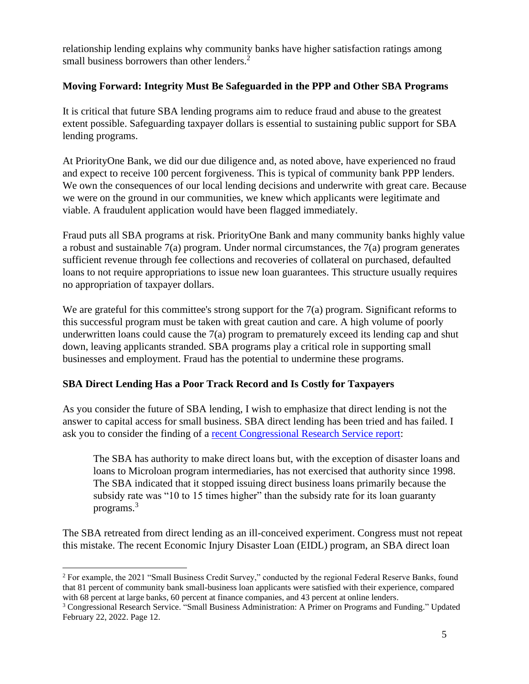relationship lending explains why community banks have higher satisfaction ratings among small business borrowers than other lenders.<sup>2</sup>

# **Moving Forward: Integrity Must Be Safeguarded in the PPP and Other SBA Programs**

It is critical that future SBA lending programs aim to reduce fraud and abuse to the greatest extent possible. Safeguarding taxpayer dollars is essential to sustaining public support for SBA lending programs.

At PriorityOne Bank, we did our due diligence and, as noted above, have experienced no fraud and expect to receive 100 percent forgiveness. This is typical of community bank PPP lenders. We own the consequences of our local lending decisions and underwrite with great care. Because we were on the ground in our communities, we knew which applicants were legitimate and viable. A fraudulent application would have been flagged immediately.

Fraud puts all SBA programs at risk. PriorityOne Bank and many community banks highly value a robust and sustainable 7(a) program. Under normal circumstances, the 7(a) program generates sufficient revenue through fee collections and recoveries of collateral on purchased, defaulted loans to not require appropriations to issue new loan guarantees. This structure usually requires no appropriation of taxpayer dollars.

We are grateful for this committee's strong support for the 7(a) program. Significant reforms to this successful program must be taken with great caution and care. A high volume of poorly underwritten loans could cause the  $7(a)$  program to prematurely exceed its lending cap and shut down, leaving applicants stranded. SBA programs play a critical role in supporting small businesses and employment. Fraud has the potential to undermine these programs.

# **SBA Direct Lending Has a Poor Track Record and Is Costly for Taxpayers**

As you consider the future of SBA lending, I wish to emphasize that direct lending is not the answer to capital access for small business. SBA direct lending has been tried and has failed. I ask you to consider the finding of a [recent Congressional Research Service report:](https://sgp.fas.org/crs/misc/RL33243.pdf)

The SBA has authority to make direct loans but, with the exception of disaster loans and loans to Microloan program intermediaries, has not exercised that authority since 1998. The SBA indicated that it stopped issuing direct business loans primarily because the subsidy rate was "10 to 15 times higher" than the subsidy rate for its loan guaranty programs.<sup>3</sup>

The SBA retreated from direct lending as an ill-conceived experiment. Congress must not repeat this mistake. The recent Economic Injury Disaster Loan (EIDL) program, an SBA direct loan

<sup>&</sup>lt;sup>2</sup> For example, the 2021 "Small Business Credit Survey," conducted by the regional Federal Reserve Banks, found that 81 percent of community bank small-business loan applicants were satisfied with their experience, compared with 68 percent at large banks, 60 percent at finance companies, and 43 percent at online lenders.

<sup>3</sup> Congressional Research Service. "Small Business Administration: A Primer on Programs and Funding." Updated February 22, 2022. Page 12.